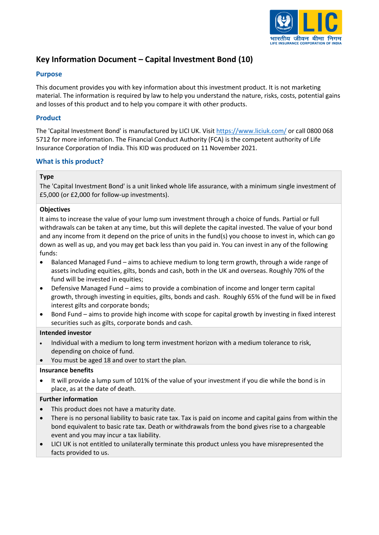

# **Key Information Document – Capital Investment Bond (10)**

### **Purpose**

This document provides you with key information about this investment product. It is not marketing material. The information is required by law to help you understand the nature, risks, costs, potential gains and losses of this product and to help you compare it with other products.

### **Product**

The 'Capital Investment Bond' is manufactured by LICI UK. Visit<https://www.liciuk.com/> or call 0800 068 5712 for more information. The Financial Conduct Authority (FCA) is the competent authority of Life Insurance Corporation of India. This KID was produced on 11 November 2021.

### **What is this product?**

### **Type**

The 'Capital Investment Bond' is a unit linked whole life assurance, with a minimum single investment of £5,000 (or £2,000 for follow-up investments).

#### **Objectives**

It aims to increase the value of your lump sum investment through a choice of funds. Partial or full withdrawals can be taken at any time, but this will deplete the capital invested. The value of your bond and any income from it depend on the price of units in the fund(s) you choose to invest in, which can go down as well as up, and you may get back less than you paid in. You can invest in any of the following funds:

- Balanced Managed Fund aims to achieve medium to long term growth, through a wide range of assets including equities, gilts, bonds and cash, both in the UK and overseas. Roughly 70% of the fund will be invested in equities;
- Defensive Managed Fund aims to provide a combination of income and longer term capital growth, through investing in equities, gilts, bonds and cash. Roughly 65% of the fund will be in fixed interest gilts and corporate bonds;
- Bond Fund aims to provide high income with scope for capital growth by investing in fixed interest securities such as gilts, corporate bonds and cash.

#### **Intended investor**

- Individual with a medium to long term investment horizon with a medium tolerance to risk, depending on choice of fund.
- You must be aged 18 and over to start the plan.

#### **Insurance benefits**

• It will provide a lump sum of 101% of the value of your investment if you die while the bond is in place, as at the date of death.

### **Further information**

- This product does not have a maturity date.
- There is no personal liability to basic rate tax. Tax is paid on income and capital gains from within the bond equivalent to basic rate tax. Death or withdrawals from the bond gives rise to a chargeable event and you may incur a tax liability.
- LICI UK is not entitled to unilaterally terminate this product unless you have misrepresented the facts provided to us.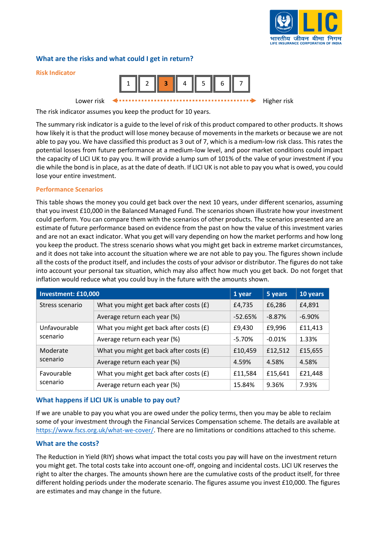

### **What are the risks and what could I get in return?**



The risk indicator assumes you keep the product for 10 years.

The summary risk indicator is a guide to the level of risk of this product compared to other products. It shows how likely it is that the product will lose money because of movements in the markets or because we are not able to pay you. We have classified this product as 3 out of 7, which is a medium-low risk class. This rates the potential losses from future performance at a medium-low level, and poor market conditions could impact the capacity of LICI UK to pay you. It will provide a lump sum of 101% of the value of your investment if you die while the bond is in place, as at the date of death. If LICI UK is not able to pay you what is owed, you could lose your entire investment.

#### **Performance Scenarios**

This table shows the money you could get back over the next 10 years, under different scenarios, assuming that you invest £10,000 in the Balanced Managed Fund. The scenarios shown illustrate how your investment could perform. You can compare them with the scenarios of other products. The scenarios presented are an estimate of future performance based on evidence from the past on how the value of this investment varies and are not an exact indicator. What you get will vary depending on how the market performs and how long you keep the product. The stress scenario shows what you might get back in extreme market circumstances, and it does not take into account the situation where we are not able to pay you. The figures shown include all the costs of the product itself, and includes the costs of your advisor or distributor. The figures do not take into account your personal tax situation, which may also affect how much you get back. Do not forget that inflation would reduce what you could buy in the future with the amounts shown.

| Investment: £10,000      |                                         |           | 5 years  | 10 years  |
|--------------------------|-----------------------------------------|-----------|----------|-----------|
| Stress scenario          | What you might get back after costs (£) | £4,735    | £6,286   | £4,891    |
|                          | Average return each year (%)            | $-52.65%$ | $-8.87%$ | $-6.90\%$ |
| Unfavourable<br>scenario | What you might get back after costs (£) | £9,430    | £9,996   | £11,413   |
|                          | Average return each year (%)            | $-5.70%$  | $-0.01%$ | 1.33%     |
| Moderate<br>scenario     | What you might get back after costs (£) | £10,459   | £12,512  | £15,655   |
|                          | Average return each year (%)            | 4.59%     | 4.58%    | 4.58%     |
| Favourable<br>scenario   | What you might get back after costs (£) | £11,584   | £15,641  | £21,448   |
|                          | Average return each year (%)            | 15.84%    | 9.36%    | 7.93%     |

### **What happens if LICI UK is unable to pay out?**

If we are unable to pay you what you are owed under the policy terms, then you may be able to reclaim some of your investment through the Financial Services Compensation scheme. The details are available at [https://www.fscs.org.uk/what-we-cover/.](https://www.fscs.org.uk/what-we-cover/) There are no limitations or conditions attached to this scheme.

#### **What are the costs?**

The Reduction in Yield (RIY) shows what impact the total costs you pay will have on the investment return you might get. The total costs take into account one-off, ongoing and incidental costs. LICI UK reserves the right to alter the charges. The amounts shown here are the cumulative costs of the product itself, for three different holding periods under the moderate scenario. The figures assume you invest £10,000. The figures are estimates and may change in the future.

**Risk Indicator**